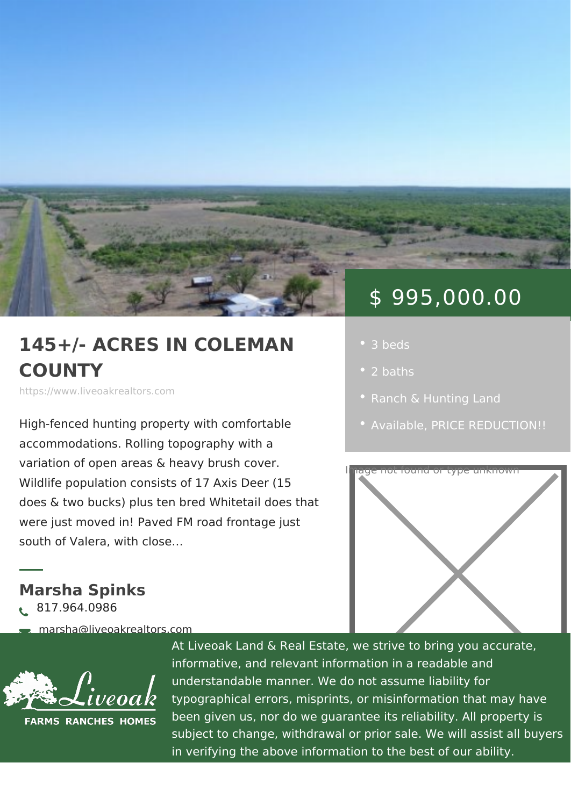# \$ 995,000.00

## 145+/- ACRES IN COLEM, '3 beds COUNTY

https://www.liveoakrealtors.com

High-fenced hunting property with comfort [Availa](https://www.liveoakrealtors.com/es_status/available/)ble RICE REDUCTION accommodations. Rolling topography wi

variation of open areas & heavy brush cov Wildlife population consists of 17 Axis  $D$ er (15 does & two bucks) plus ten bred Whitetall does that were just moved in! Paved FM road frontage just south of Valera, with close &

Marsha Spinks ð• 817.964.0986

ðà marsha@liveoakrealtors.com

- 
- 
- 2 baths
- 
- 



At Liveoak Land & Real Estate, we strive to brin informative, and relevant information in a reada understandable manner. We do not assume liabil typographical errors, misprints, or misinformatic been given us, nor do we guarantee its reliabilit subject to change, withdrawal or prior sale. We in verifying the above information to the best of